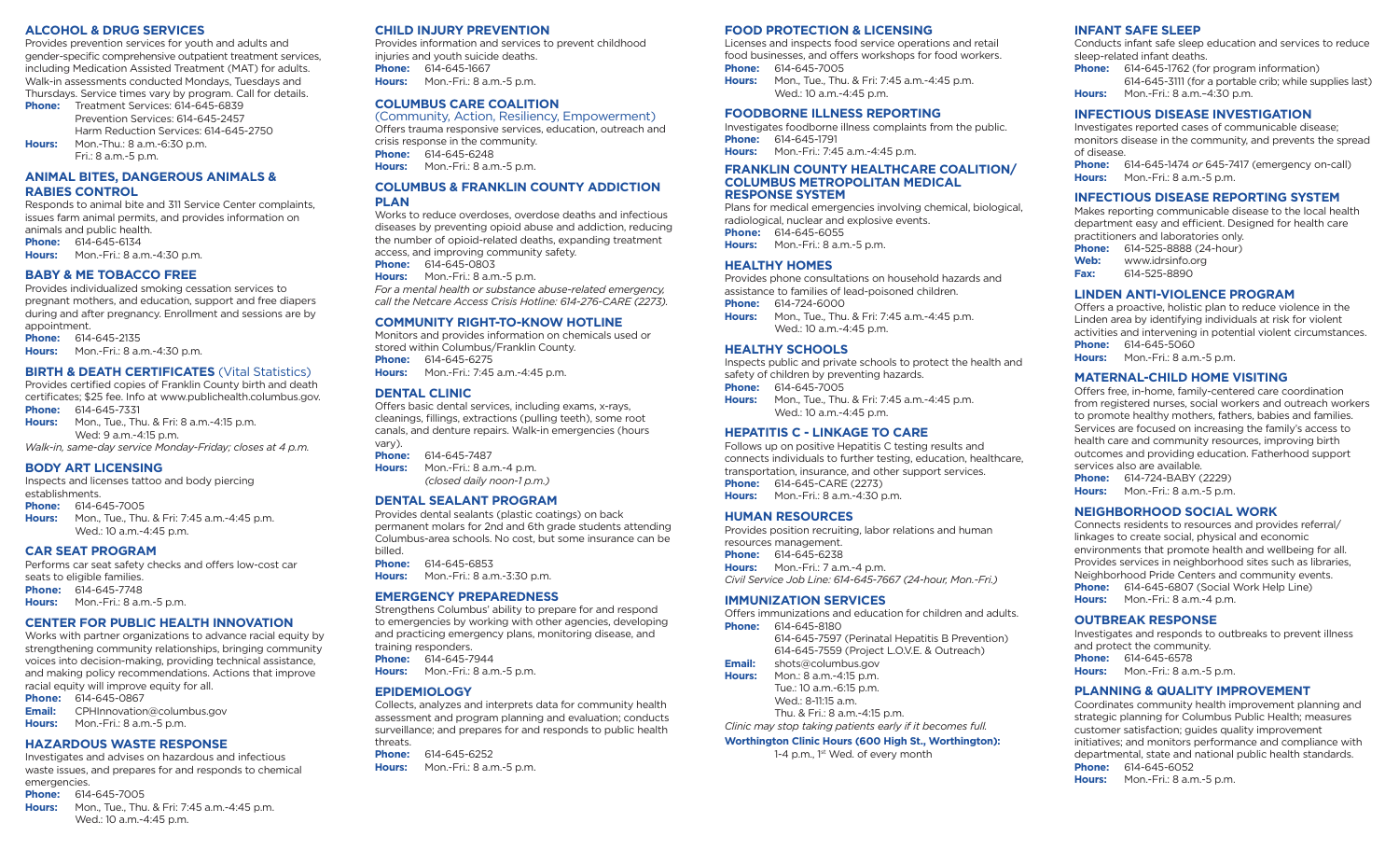#### **ALCOHOL & DRUG SERVICES**

Provides prevention services for youth and adults and gender-specific comprehensive outpatient treatment services, including Medication Assisted Treatment (MAT) for adults. Walk-in assessments conducted Mondays, Tuesdays and Thursdays. Service times vary by program. Call for details.

Phone: Treatment Services: 614-645-6839 Prevention Services: 614-645-2457 Harm Reduction Services: 614-645-2750 **Hours:** Mon.-Thu.: 8 a.m.-6:30 p.m. Fri.: 8 a.m.-5 p.m.

**ANIMAL BITES, DANGEROUS ANIMALS & RABIES CONTROL** 

Responds to animal bite and 311 Service Center complaints, issues farm animal permits, and provides information on animals and public health. **Phone:** 614-645-6134 **Hours:** Mon.-Fri.: 8 a.m.-4:30 p.m.

#### **BABY & ME TOBACCO FREE**

Provides individualized smoking cessation services to pregnant mothers, and education, support and free diapers during and after pregnancy. Enrollment and sessions are by appointment.

**Phone:** 614-645-2135

**Hours:** Mon.-Fri.: 8 a.m.-4:30 p.m.

#### **BIRTH & DEATH CERTIFICATES** (Vital Statistics)

Provides certified copies of Franklin County birth and death certificates; \$25 fee. Info at www.publichealth.columbus.gov. **Phone:** 614-645-7331

**Hours:** Mon., Tue., Thu. & Fri: 8 a.m.-4:15 p.m. Wed: 9 a.m.-4:15 p.m.

*Walk-in, same-day service Monday-Friday; closes at 4 p.m.*

#### **BODY ART LICENSING**

Inspects and licenses tattoo and body piercing establishments.

**Phone:** 614-645-7005

**Hours:** Mon., Tue., Thu. & Fri: 7:45 a.m.-4:45 p.m. Wed.: 10 a.m.-4:45 p.m.

#### **CAR SEAT PROGRAM**

Performs car seat safety checks and offers low-cost car seats to eligible families. **Phone:** 614-645-7748 **Hours:** Mon.-Fri.: 8 a.m.-5 p.m.

#### **CENTER FOR PUBLIC HEALTH INNOVATION**

Works with partner organizations to advance racial equity by strengthening community relationships, bringing community voices into decision-making, providing technical assistance, and making policy recommendations. Actions that improve racial equity will improve equity for all.

**Phone:** 614-645-0867<br>**Email:** CPHInnovation **Email:** CPHInnovation@columbus.gov **Hours:** Mon.-Fri.: 8 a.m.-5 p.m.

# **HAZARDOUS WASTE RESPONSE**

Investigates and advises on hazardous and infectious waste issues, and prepares for and responds to chemical emergencies.

#### **Phone:** 614-645-7005

**Hours:** Mon., Tue., Thu. & Fri: 7:45 a.m.-4:45 p.m. Wed.: 10 a.m.-4:45 p.m.

# **CHILD INJURY PREVENTION**

Provides information and services to prevent childhood injuries and youth suicide deaths. **Phone:** 614-645-1667 **Hours:** Mon.-Fri.: 8 a.m.-5 p.m.

# **COLUMBUS CARE COALITION**

(Community, Action, Resiliency, Empowerment) Offers trauma responsive services, education, outreach and crisis response in the community. **Phone:** 614-645-6248 **Hours:** Mon.-Fri.: 8 a.m.-5 p.m.

#### **COLUMBUS & FRANKLIN COUNTY ADDICTION PLAN**

Works to reduce overdoses, overdose deaths and infectious diseases by preventing opioid abuse and addiction, reducing the number of opioid-related deaths, expanding treatment access, and improving community safety.

**Phone:** 614-645-0803 **Hours:** Mon.-Fri.: 8 a.m.-5 p.m.

*For a mental health or substance abuse-related emergency, call the Netcare Access Crisis Hotline: 614-276-CARE (2273).*

#### **COMMUNITY RIGHT-TO-KNOW HOTLINE**

Monitors and provides information on chemicals used or stored within Columbus/Franklin County. **Phone:** 614-645-6275<br>**Hours:** Mon.-Fri.: 7:45 **Hours:** Mon.-Fri.: 7:45 a.m.-4:45 p.m.

#### **DENTAL CLINIC**

Offers basic dental services, including exams, x-rays, cleanings, fillings, extractions (pulling teeth), some root canals, and denture repairs. Walk-in emergencies (hours vary).

**Phone:** 614-645-7487 **Hours:** Mon.-Fri.: 8 a.m.-4 p.m.

*(closed daily noon*-*1 p.m.)*

#### **DENTAL SEALANT PROGRAM**

Provides dental sealants (plastic coatings) on back permanent molars for 2nd and 6th grade students attending Columbus-area schools. No cost, but some insurance can be billed.

**Phone:** 614-645-6853

**Hours:** Mon.-Fri.: 8 a.m.-3:30 p.m.

#### **EMERGENCY PREPAREDNESS**

Strengthens Columbus' ability to prepare for and respond to emergencies by working with other agencies, developing and practicing emergency plans, monitoring disease, and training responders. **Phone:** 614-645-7944

**Hours:** Mon.-Fri.: 8 a.m.-5 p.m.

#### **EPIDEMIOLOGY**

Collects, analyzes and interprets data for community health assessment and program planning and evaluation; conducts surveillance; and prepares for and responds to public health threats.

**Phone:** 614-645-6252 **Hours:** Mon.-Fri.: 8 a.m.-5 p.m.

#### **FOOD PROTECTION & LICENSING**

Licenses and inspects food service operations and retail food businesses, and offers workshops for food workers. **Phone:** 614-645-7005<br>**Hours:** Mon. Tue. Thu **Hours:** Mon., Tue., Thu. & Fri: 7:45 a.m.-4:45 p.m.

Wed.: 10 a.m.-4:45 p.m.

# **FOODBORNE ILLNESS REPORTING**

Investigates foodborne illness complaints from the public. **Phone:** 614-645-1791 **Hours:** Mon.-Fri.: 7:45 a.m.-4:45 p.m.

# **FRANKLIN COUNTY HEALTHCARE COALITION/ COLUMBUS METROPOLITAN MEDICAL**

Plans for medical emergencies involving chemical, biological, radiological, nuclear and explosive events. **Phone:** 614-645-6055 **Hours:** Mon.-Fri.: 8 a.m.-5 p.m.

#### **HEALTHY HOMES**

Provides phone consultations on household hazards and assistance to families of lead-poisoned children. **Phone:** 614-724-6000

**Hours:** Mon., Tue., Thu. & Fri: 7:45 a.m.-4:45 p.m. Wed.: 10 a.m.-4:45 p.m.

#### **HEALTHY SCHOOLS**

Inspects public and private schools to protect the health and safety of children by preventing hazards. **Phone:** 614-645-7005 **Hours:** Mon., Tue., Thu. & Fri: 7:45 a.m.-4:45 p.m. Wed.: 10 a.m.-4:45 p.m.

#### **HEPATITIS C - LINKAGE TO CARE**

Follows up on positive Hepatitis C testing results and connects individuals to further testing, education, healthcare, transportation, insurance, and other support services. **Phone:** 614-645-CARE (2273) **Hours:** Mon.-Fri.: 8 a.m.-4:30 p.m.

#### **HUMAN RESOURCES**

Provides position recruiting, labor relations and human resources management. **Phone:** 614-645-6238 **Hours:** Mon.-Fri.: 7 a.m.-4 p.m. *Civil Service Job Line: 614-645-7667 (24-hour, Mon.-Fri.)*

#### **IMMUNIZATION SERVICES**

Offers immunizations and education for children and adults. **Phone:** 614-645-8180 614-645-7597 (Perinatal Hepatitis B Prevention) 614-645-7559 (Project L.O.V.E. & Outreach) **Email:** shots@columbus.gov **Hours:** Mon.: 8 a.m.-4:15 p.m. Tue.: 10 a.m.-6:15 p.m. Wed.: 8-11:15 a.m. Thu. & Fri.: 8 a.m.-4:15 p.m. *Clinic may stop taking patients early if it becomes full.*

# **Worthington Clinic Hours (600 High St., Worthington):**

1-4 p.m., 1st Wed. of every month

### **INFANT SAFE SLEEP**

Conducts infant safe sleep education and services to reduce sleep-related infant deaths.

- **Phone:** 614-645-1762 (for program information) 614-645-3111 (for a portable crib; while supplies last) **Hours:** Mon.-Fri.: 8 a.m.–4:30 p.m.
- **INFECTIOUS DISEASE INVESTIGATION**

Investigates reported cases of communicable disease; monitors disease in the community, and prevents the spread of disease.

**Phone:** 614-645-1474 *or* 645-7417 (emergency on-call) **Hours:** Mon.-Fri.: 8 a.m.-5 p.m.

#### **INFECTIOUS DISEASE REPORTING SYSTEM**

Makes reporting communicable disease to the local health department easy and efficient. Designed for health care practitioners and laboratories only. **Phone:** 614-525-8888 (24-hour)

- **Web:** www.idrsinfo.org
	- **Fax:** 614-525-8890

#### **LINDEN ANTI-VIOLENCE PROGRAM**

Offers a proactive, holistic plan to reduce violence in the Linden area by identifying individuals at risk for violent activities and intervening in potential violent circumstances. **Phone:** 614-645-5060 **Hours:** Mon.-Fri.: 8 a.m.-5 p.m.

#### **MATERNAL-CHILD HOME VISITING**

Offers free, in-home, family-centered care coordination from registered nurses, social workers and outreach workers to promote healthy mothers, fathers, babies and families. Services are focused on increasing the family's access to health care and community resources, improving birth outcomes and providing education. Fatherhood support services also are available. **Phone:** 614-724-BABY (2229) **Hours:** Mon.-Fri.: 8 a.m.-5 p.m.

#### **NEIGHBORHOOD SOCIAL WORK**

Connects residents to resources and provides referral/ linkages to create social, physical and economic environments that promote health and wellbeing for all. Provides services in neighborhood sites such as libraries, Neighborhood Pride Centers and community events. **Phone:** 614-645-6807 (Social Work Help Line) **Hours:** Mon.-Fri.: 8 a.m.-4 p.m.

#### **OUTBREAK RESPONSE**

Investigates and responds to outbreaks to prevent illness and protect the community. **Phone:** 614-645-6578 **Hours:** Mon.-Fri.: 8 a.m.-5 p.m.

#### **PLANNING & QUALITY IMPROVEMENT**

Coordinates community health improvement planning and strategic planning for Columbus Public Health; measures customer satisfaction; guides quality improvement initiatives; and monitors performance and compliance with departmental, state and national public health standards. **Phone:** 614-645-6052 **Hours:** Mon.-Fri.: 8 a.m.-5 p.m.